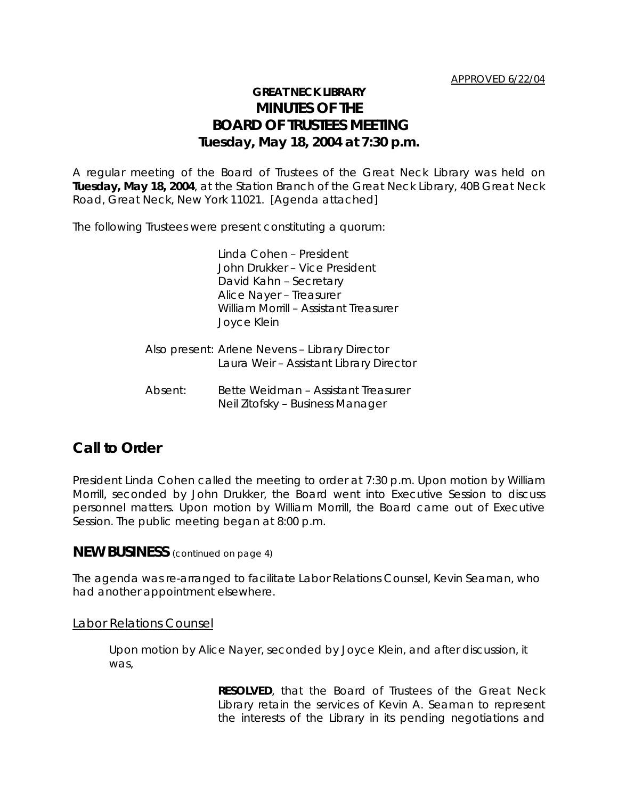# **GREAT NECK LIBRARY MINUTES OF THE BOARD OF TRUSTEES MEETING Tuesday, May 18, 2004 at 7:30 p.m.**

A regular meeting of the Board of Trustees of the Great Neck Library was held on **Tuesday, May 18, 2004**, at the Station Branch of the Great Neck Library, 40B Great Neck Road, Great Neck, New York 11021. [Agenda attached]

The following Trustees were present constituting a quorum:

Linda Cohen – President John Drukker – Vice President David Kahn – Secretary Alice Nayer – Treasurer William Morrill – Assistant Treasurer Joyce Klein

- Also present: Arlene Nevens Library Director Laura Weir – Assistant Library Director
- Absent: Bette Weidman Assistant Treasurer Neil Zitofsky – Business Manager

# **Call to Order**

President Linda Cohen called the meeting to order at 7:30 p.m. Upon motion by William Morrill, seconded by John Drukker, the Board went into Executive Session to discuss personnel matters. Upon motion by William Morrill, the Board came out of Executive Session. The public meeting began at 8:00 p.m.

**NEW BUSINESS** (continued on page 4)

The agenda was re-arranged to facilitate Labor Relations Counsel, Kevin Seaman, who had another appointment elsewhere.

## Labor Relations Counsel

Upon motion by Alice Nayer, seconded by Joyce Klein, and after discussion, it was,

> **RESOLVED**, that the Board of Trustees of the Great Neck Library retain the services of Kevin A. Seaman to represent the interests of the Library in its pending negotiations and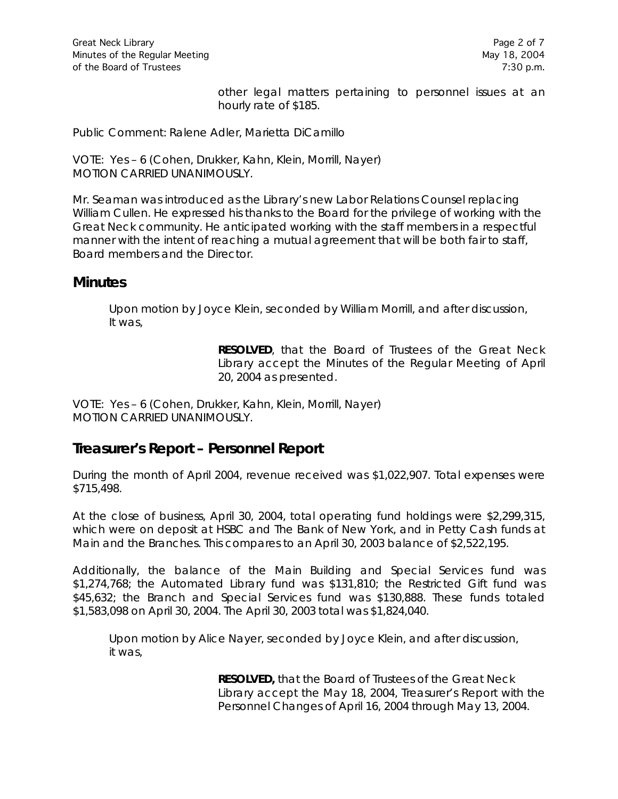other legal matters pertaining to personnel issues at an hourly rate of \$185.

Public Comment: Ralene Adler, Marietta DiCamillo

VOTE:Yes – 6 (Cohen, Drukker, Kahn, Klein, Morrill, Nayer) *MOTION CARRIED UNANIMOUSLY.*

Mr. Seaman was introduced as the Library's new Labor Relations Counsel replacing William Cullen. He expressed his thanks to the Board for the privilege of working with the Great Neck community. He anticipated working with the staff members in a respectful manner with the intent of reaching a mutual agreement that will be both fair to staff, Board members and the Director.

# **Minutes**

Upon motion by Joyce Klein, seconded by William Morrill, and after discussion, It was,

> **RESOLVED**, that the Board of Trustees of the Great Neck Library accept the Minutes of the Regular Meeting of April 20, 2004 as presented.

VOTE:Yes – 6 (Cohen, Drukker, Kahn, Klein, Morrill, Nayer) *MOTION CARRIED UNANIMOUSLY.*

# **Treasurer's Report – Personnel Report**

During the month of April 2004, revenue received was \$1,022,907. Total expenses were \$715,498.

At the close of business, April 30, 2004, total operating fund holdings were \$2,299,315, which were on deposit at HSBC and The Bank of New York, and in Petty Cash funds at Main and the Branches. This compares to an April 30, 2003 balance of \$2,522,195.

Additionally, the balance of the Main Building and Special Services fund was \$1,274,768; the Automated Library fund was \$131,810; the Restricted Gift fund was \$45,632; the Branch and Special Services fund was \$130,888. These funds totaled \$1,583,098 on April 30, 2004. The April 30, 2003 total was \$1,824,040.

Upon motion by Alice Nayer, seconded by Joyce Klein, and after discussion, it was,

> **RESOLVED,** that the Board of Trustees of the Great Neck Library accept the May 18, 2004, Treasurer's Report with the Personnel Changes of April 16, 2004 through May 13, 2004.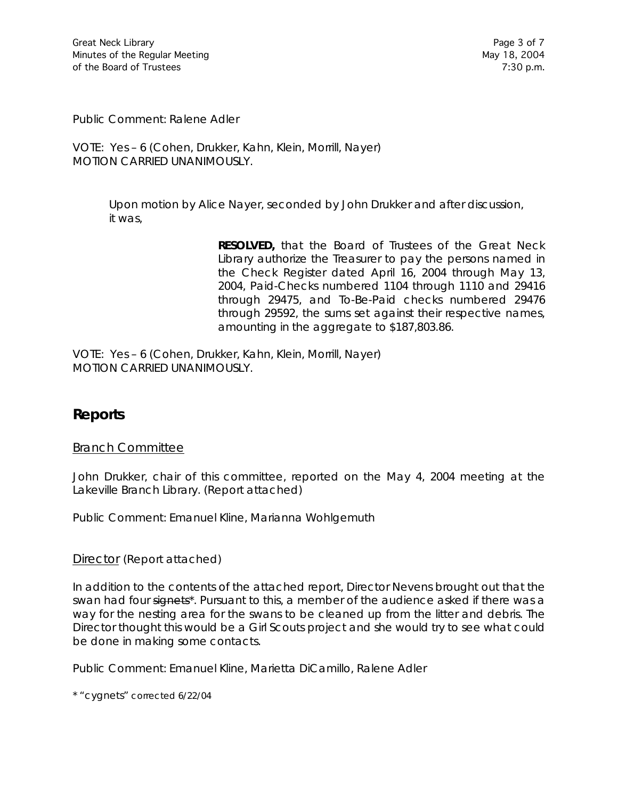Public Comment: Ralene Adler

VOTE:Yes – 6 (Cohen, Drukker, Kahn, Klein, Morrill, Nayer) *MOTION CARRIED UNANIMOUSLY.*

> Upon motion by Alice Nayer, seconded by John Drukker and after discussion, it was,

> > **RESOLVED,** that the Board of Trustees of the Great Neck Library authorize the Treasurer to pay the persons named in the Check Register dated April 16, 2004 through May 13, 2004, Paid-Checks numbered 1104 through 1110 and 29416 through 29475, and To-Be-Paid checks numbered 29476 through 29592, the sums set against their respective names, amounting in the aggregate to \$187,803.86.

VOTE:Yes – 6 (Cohen, Drukker, Kahn, Klein, Morrill, Nayer) *MOTION CARRIED UNANIMOUSLY.*

# **Reports**

## Branch Committee

John Drukker, chair of this committee, reported on the May 4, 2004 meeting at the Lakeville Branch Library. (Report attached)

Public Comment: Emanuel Kline, Marianna Wohlgemuth

## Director (Report attached)

In addition to the contents of the attached report, Director Nevens brought out that the swan had four signets<sup>\*</sup>. Pursuant to this, a member of the audience asked if there was a way for the nesting area for the swans to be cleaned up from the litter and debris. The Director thought this would be a Girl Scouts project and she would try to see what could be done in making some contacts.

Public Comment: Emanuel Kline, Marietta DiCamillo, Ralene Adler

\* "cygnets" corrected 6/22/04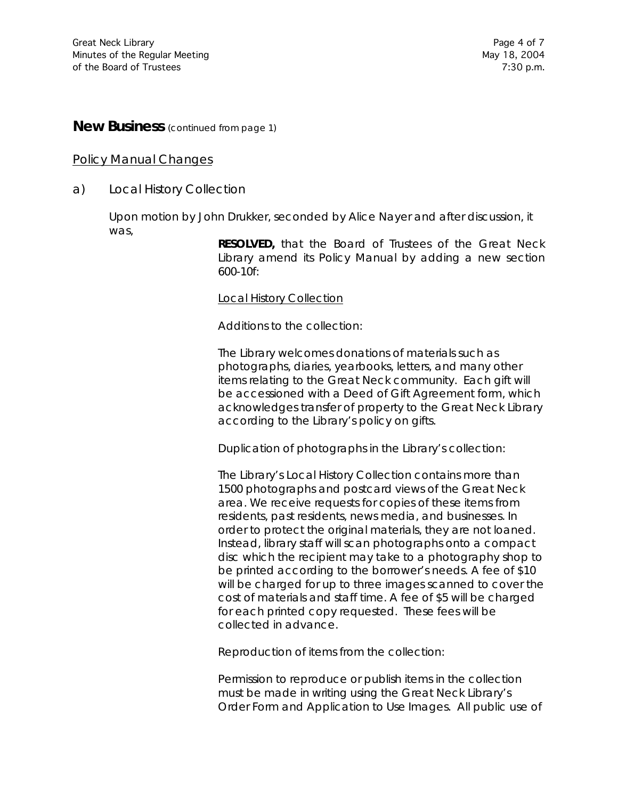# **New Business** (continued from page 1)

### Policy Manual Changes

a) *Local History Collection*

Upon motion by John Drukker, seconded by Alice Nayer and after discussion, it was,

> **RESOLVED,** that the Board of Trustees of the Great Neck Library amend its Policy Manual by adding a new section 600-10f:

#### Local History Collection

Additions to the collection:

The Library welcomes donations of materials such as photographs, diaries, yearbooks, letters, and many other items relating to the Great Neck community. Each gift will be accessioned with a Deed of Gift Agreement form, which acknowledges transfer of property to the Great Neck Library according to the Library's policy on gifts.

Duplication of photographs in the Library's collection:

The Library's Local History Collection contains more than 1500 photographs and postcard views of the Great Neck area. We receive requests for copies of these items from residents, past residents, news media, and businesses. In order to protect the original materials, they are not loaned. Instead, library staff will scan photographs onto a compact disc which the recipient may take to a photography shop to be printed according to the borrower's needs. A fee of \$10 will be charged for up to three images scanned to cover the cost of materials and staff time. A fee of \$5 will be charged for each printed copy requested. These fees will be collected in advance.

Reproduction of items from the collection:

Permission to reproduce or publish items in the collection must be made in writing using the Great Neck Library's Order Form and Application to Use Images. All public use of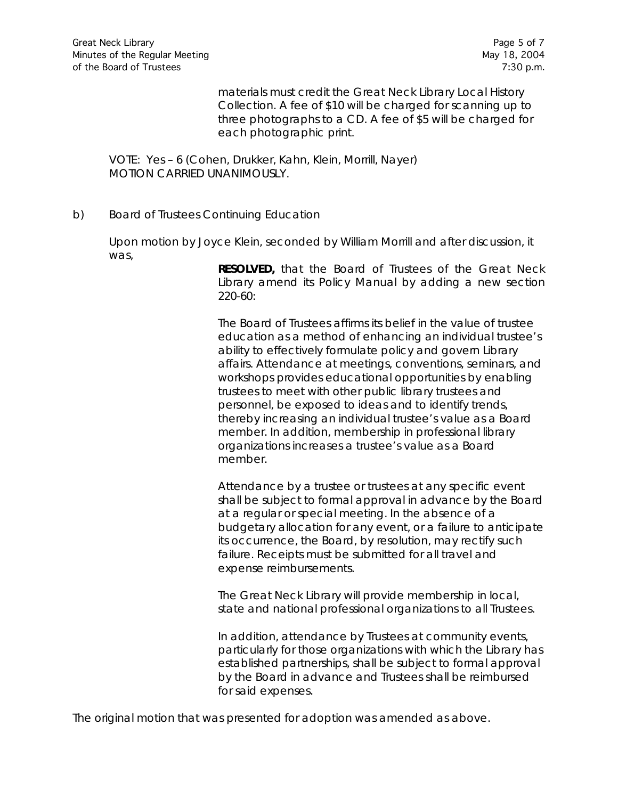materials must credit the Great Neck Library Local History Collection. A fee of \$10 will be charged for scanning up to three photographs to a CD. A fee of \$5 will be charged for each photographic print.

VOTE:Yes – 6 (Cohen, Drukker, Kahn, Klein, Morrill, Nayer) *MOTION CARRIED UNANIMOUSLY.*

b) *Board of Trustees Continuing Education*

Upon motion by Joyce Klein, seconded by William Morrill and after discussion, it was,

> **RESOLVED,** that the Board of Trustees of the Great Neck Library amend its Policy Manual by adding a new section 220-60:

The Board of Trustees affirms its belief in the value of trustee education as a method of enhancing an individual trustee's ability to effectively formulate policy and govern Library affairs. Attendance at meetings, conventions, seminars, and workshops provides educational opportunities by enabling trustees to meet with other public library trustees and personnel, be exposed to ideas and to identify trends, thereby increasing an individual trustee's value as a Board member. In addition, membership in professional library organizations increases a trustee's value as a Board member.

Attendance by a trustee or trustees at any specific event shall be subject to formal approval in advance by the Board at a regular or special meeting. In the absence of a budgetary allocation for any event, or a failure to anticipate its occurrence, the Board, by resolution, may rectify such failure. Receipts must be submitted for all travel and expense reimbursements.

The Great Neck Library will provide membership in local, state and national professional organizations to all Trustees.

In addition, attendance by Trustees at community events, particularly for those organizations with which the Library has established partnerships, shall be subject to formal approval by the Board in advance and Trustees shall be reimbursed for said expenses.

The original motion that was presented for adoption was amended as above.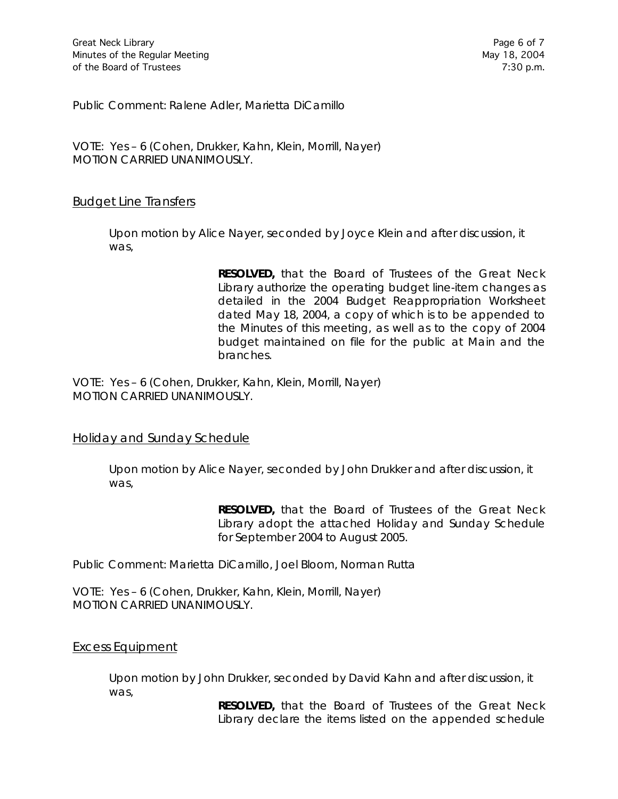Public Comment: Ralene Adler, Marietta DiCamillo

VOTE:Yes – 6 (Cohen, Drukker, Kahn, Klein, Morrill, Nayer) *MOTION CARRIED UNANIMOUSLY.*

## Budget Line Transfers

Upon motion by Alice Nayer, seconded by Joyce Klein and after discussion, it was,

> **RESOLVED,** that the Board of Trustees of the Great Neck Library authorize the operating budget line-item changes as detailed in the 2004 Budget Reappropriation Worksheet dated May 18, 2004, a copy of which is to be appended to the Minutes of this meeting, as well as to the copy of 2004 budget maintained on file for the public at Main and the branches.

VOTE:Yes – 6 (Cohen, Drukker, Kahn, Klein, Morrill, Nayer) *MOTION CARRIED UNANIMOUSLY.*

## Holiday and Sunday Schedule

Upon motion by Alice Nayer, seconded by John Drukker and after discussion, it was,

> **RESOLVED,** that the Board of Trustees of the Great Neck Library adopt the attached Holiday and Sunday Schedule for September 2004 to August 2005.

Public Comment: Marietta DiCamillo, Joel Bloom, Norman Rutta

VOTE:Yes – 6 (Cohen, Drukker, Kahn, Klein, Morrill, Nayer) *MOTION CARRIED UNANIMOUSLY.*

## Excess Equipment

Upon motion by John Drukker, seconded by David Kahn and after discussion, it was,

> **RESOLVED,** that the Board of Trustees of the Great Neck Library declare the items listed on the appended schedule